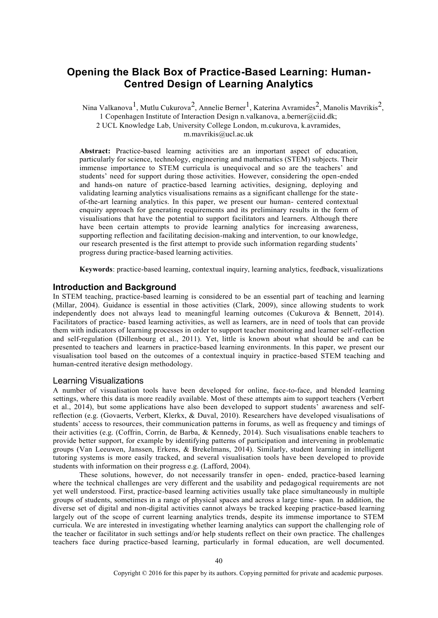# **Opening the Black Box of Practice-Based Learning: Human-Centred Design of Learning Analytics**

Nina Valkanova<sup>1</sup>, Mutlu Cukurova<sup>2</sup>, Annelie Berner<sup>1</sup>, Katerina Avramides<sup>2</sup>, Manolis Mavrikis<sup>2</sup>,

1 Copenhagen Institute of Interaction Design n.valkanova, a.berner@ciid.dk;

2 UCL Knowledge Lab, University College London, m.cukurova, k.avramides,

m.mavrikis@ucl.ac.uk

**Abstract:** Practice-based learning activities are an important aspect of education, particularly for science, technology, engineering and mathematics (STEM) subjects. Their immense importance to STEM curricula is unequivocal and so are the teachers' and students' need for support during those activities. However, considering the open-ended and hands-on nature of practice-based learning activities, designing, deploying and validating learning analytics visualisations remains as a significant challenge for the stateof-the-art learning analytics. In this paper, we present our human- centered contextual enquiry approach for generating requirements and its preliminary results in the form of visualisations that have the potential to support facilitators and learners. Although there have been certain attempts to provide learning analytics for increasing awareness, supporting reflection and facilitating decision-making and intervention, to our knowledge, our research presented is the first attempt to provide such information regarding students' progress during practice-based learning activities.

**Keywords**: practice-based learning, contextual inquiry, learning analytics, feedback, visualizations

## **Introduction and Background**

In STEM teaching, practice-based learning is considered to be an essential part of teaching and learning (Millar, 2004). Guidance is essential in those activities (Clark, 2009), since allowing students to work independently does not always lead to meaningful learning outcomes (Cukurova & Bennett, 2014). Facilitators of practice- based learning activities, as well as learners, are in need of tools that can provide them with indicators of learning processes in order to support teacher monitoring and learner self-reflection and self-regulation (Dillenbourg et al., 2011). Yet, little is known about what should be and can be presented to teachers and learners in practice-based learning environments. In this paper, we present our visualisation tool based on the outcomes of a contextual inquiry in practice-based STEM teaching and human-centred iterative design methodology.

## Learning Visualizations

A number of visualisation tools have been developed for online, face-to-face, and blended learning settings, where this data is more readily available. Most of these attempts aim to support teachers (Verbert et al., 2014), but some applications have also been developed to support students' awareness and selfreflection (e.g. (Govaerts, Verbert, Klerkx, & Duval, 2010). Researchers have developed visualisations of students' access to resources, their communication patterns in forums, as well as frequency and timings of their activities (e.g. (Coffrin, Corrin, de Barba, & Kennedy, 2014). Such visualisations enable teachers to provide better support, for example by identifying patterns of participation and intervening in problematic groups (Van Leeuwen, Janssen, Erkens, & Brekelmans, 2014). Similarly, student learning in intelligent tutoring systems is more easily tracked, and several visualisation tools have been developed to provide students with information on their progress e.g. (Lafford, 2004).

These solutions, however, do not necessarily transfer in open- ended, practice-based learning where the technical challenges are very different and the usability and pedagogical requirements are not yet well understood. First, practice-based learning activities usually take place simultaneously in multiple groups of students, sometimes in a range of physical spaces and across a large time- span. In addition, the diverse set of digital and non-digital activities cannot always be tracked keeping practice-based learning largely out of the scope of current learning analytics trends, despite its immense importance to STEM curricula. We are interested in investigating whether learning analytics can support the challenging role of the teacher or facilitator in such settings and/or help students reflect on their own practice. The challenges teachers face during practice-based learning, particularly in formal education, are well documented.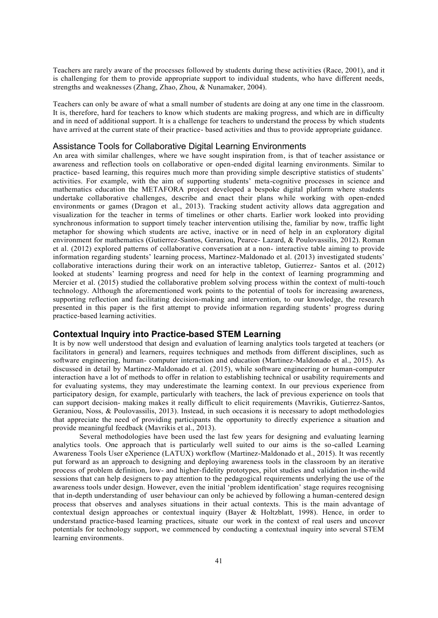Teachers are rarely aware of the processes followed by students during these activities (Race, 2001), and it is challenging for them to provide appropriate support to individual students, who have different needs, strengths and weaknesses (Zhang, Zhao, Zhou, & Nunamaker, 2004).

Teachers can only be aware of what a small number of students are doing at any one time in the classroom. It is, therefore, hard for teachers to know which students are making progress, and which are in difficulty and in need of additional support. It is a challenge for teachers to understand the process by which students have arrived at the current state of their practice- based activities and thus to provide appropriate guidance.

## Assistance Tools for Collaborative Digital Learning Environments

An area with similar challenges, where we have sought inspiration from, is that of teacher assistance or awareness and reflection tools on collaborative or open-ended digital learning environments. Similar to practice- based learning, this requires much more than providing simple descriptive statistics of students' activities. For example, with the aim of supporting students' meta-cognitive processes in science and mathematics education the METAFORA project developed a bespoke digital platform where students undertake collaborative challenges, describe and enact their plans while working with open-ended environments or games (Dragon et al., 2013). Tracking student activity allows data aggregation and visualization for the teacher in terms of timelines or other charts. Earlier work looked into providing synchronous information to support timely teacher intervention utilising the, familiar by now, traffic light metaphor for showing which students are active, inactive or in need of help in an exploratory digital environment for mathematics (Gutierrez-Santos, Geraniou, Pearce- Lazard, & Poulovassilis, 2012). Roman et al. (2012) explored patterns of collaborative conversation at a non- interactive table aiming to provide information regarding students' learning process, Martinez-Maldonado et al. (2013) investigated students' collaborative interactions during their work on an interactive tabletop, Gutierrez- Santos et al. (2012) looked at students' learning progress and need for help in the context of learning programming and Mercier et al. (2015) studied the collaborative problem solving process within the context of multi-touch technology. Although the aforementioned work points to the potential of tools for increasing awareness, supporting reflection and facilitating decision-making and intervention, to our knowledge, the research presented in this paper is the first attempt to provide information regarding students' progress during practice-based learning activities.

# **Contextual Inquiry into Practice-based STEM Learning**

It is by now well understood that design and evaluation of learning analytics tools targeted at teachers (or facilitators in general) and learners, requires techniques and methods from different disciplines, such as software engineering, human- computer interaction and education (Martinez-Maldonado et al., 2015). As discussed in detail by Martinez-Maldonado et al. (2015), while software engineering or human-computer interaction have a lot of methods to offer in relation to establishing technical or usability requirements and for evaluating systems, they may underestimate the learning context. In our previous experience from participatory design, for example, particularly with teachers, the lack of previous experience on tools that can support decision- making makes it really difficult to elicit requirements (Mavrikis, Gutierrez-Santos, Geraniou, Noss, & Poulovassilis, 2013). Instead, in such occasions it is necessary to adopt methodologies that appreciate the need of providing participants the opportunity to directly experience a situation and provide meaningful feedback (Mavrikis et al., 2013).

Several methodologies have been used the last few years for designing and evaluating learning analytics tools. One approach that is particularly well suited to our aims is the so-called Learning Awareness Tools User eXperience (LATUX) workflow (Martinez-Maldonado et al., 2015). It was recently put forward as an approach to designing and deploying awareness tools in the classroom by an iterative process of problem definition, low- and higher-fidelity prototypes, pilot studies and validation in-the-wild sessions that can help designers to pay attention to the pedagogical requirements underlying the use of the awareness tools under design. However, even the initial 'problem identification' stage requires recognising that in-depth understanding of user behaviour can only be achieved by following a human-centered design process that observes and analyses situations in their actual contexts. This is the main advantage of contextual design approaches or contextual inquiry (Bayer & Holtzblatt, 1998). Hence, in order to understand practice-based learning practices, situate our work in the context of real users and uncover potentials for technology support, we commenced by conducting a contextual inquiry into several STEM learning environments.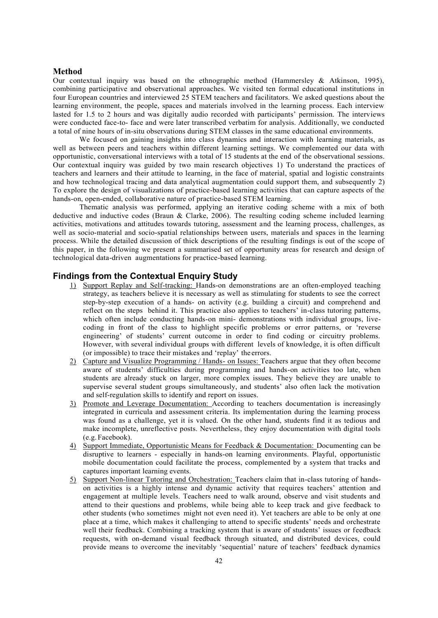### **Method**

Our contextual inquiry was based on the ethnographic method (Hammersley & Atkinson, 1995), combining participative and observational approaches. We visited ten formal educational institutions in four European countries and interviewed 25 STEM teachers and facilitators. We asked questions about the learning environment, the people, spaces and materials involved in the learning process. Each interview lasted for 1.5 to 2 hours and was digitally audio recorded with participants' permission. The interviews were conducted face-to- face and were later transcribed verbatim for analysis. Additionally, we conducted a total of nine hours of in-situ observations during STEM classes in the same educational environments.

We focused on gaining insights into class dynamics and interaction with learning materials, as well as between peers and teachers within different learning settings. We complemented our data with opportunistic, conversational interviews with a total of 15 students at the end of the observational sessions. Our contextual inquiry was guided by two main research objectives 1) To understand the practices of teachers and learners and their attitude to learning, in the face of material, spatial and logistic constraints and how technological tracing and data analytical augmentation could support them, and subsequently 2) To explore the design of visualizations of practice-based learning activities that can capture aspects of the hands-on, open-ended, collaborative nature of practice-based STEM learning.

Thematic analysis was performed, applying an iterative coding scheme with a mix of both deductive and inductive codes (Braun & Clarke, 2006). The resulting coding scheme included learning activities, motivations and attitudes towards tutoring, assessment and the learning process, challenges, as well as socio-material and socio-spatial relationships between users, materials and spaces in the learning process. While the detailed discussion of thick descriptions of the resulting findings is out of the scope of this paper, in the following we present a summarised set of opportunity areas for research and design of technological data-driven augmentations for practice-based learning.

## **Findings from the Contextual Enquiry Study**

- 1) Support Replay and Self-tracking: Hands-on demonstrations are an often-employed teaching strategy, as teachers believe it is necessary as well as stimulating for students to see the correct step-by-step execution of a hands- on activity (e.g. building a circuit) and comprehend and reflect on the steps behind it. This practice also applies to teachers' in-class tutoring patterns, which often include conducting hands-on mini- demonstrations with individual groups, livecoding in front of the class to highlight specific problems or error patterns, or 'reverse engineering' of students' current outcome in order to find coding or circuitry problems. However, with several individual groups with different levels of knowledge, it is often difficult (or impossible) to trace their mistakes and 'replay' the errors.
- 2) Capture and Visualize Programming / Hands- on Issues: Teachers argue that they often become aware of students' difficulties during programming and hands-on activities too late, when students are already stuck on larger, more complex issues. They believe they are unable to supervise several student groups simultaneously, and students' also often lack the motivation and self-regulation skills to identify and report on issues.
- 3) Promote and Leverage Documentation: According to teachers documentation is increasingly integrated in curricula and assessment criteria. Its implementation during the learning process was found as a challenge, yet it is valued. On the other hand, students find it as tedious and make incomplete, unreflective posts. Nevertheless, they enjoy documentation with digital tools (e.g. Facebook).
- 4) Support Immediate, Opportunistic Means for Feedback & Documentation: Documenting can be disruptive to learners - especially in hands-on learning environments. Playful, opportunistic mobile documentation could facilitate the process, complemented by a system that tracks and captures important learning events.
- 5) Support Non-linear Tutoring and Orchestration: Teachers claim that in-class tutoring of handson activities is a highly intense and dynamic activity that requires teachers' attention and engagement at multiple levels. Teachers need to walk around, observe and visit students and attend to their questions and problems, while being able to keep track and give feedback to other students (who sometimes might not even need it). Yet teachers are able to be only at one place at a time, which makes it challenging to attend to specific students' needs and orchestrate well their feedback. Combining a tracking system that is aware of students' issues or feedback requests, with on-demand visual feedback through situated, and distributed devices, could provide means to overcome the inevitably 'sequential' nature of teachers' feedback dynamics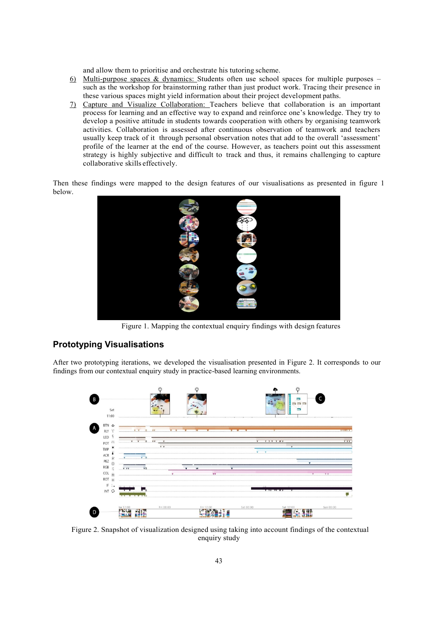and allow them to prioritise and orchestrate his tutoring scheme.

- 6) Multi-purpose spaces & dynamics: Students often use school spaces for multiple purposes such as the workshop for brainstorming rather than just product work. Tracing their presence in these various spaces might yield information about their project development paths.
- 7) Capture and Visualize Collaboration: Teachers believe that collaboration is an important process for learning and an effective way to expand and reinforce one's knowledge. They try to develop a positive attitude in students towards cooperation with others by organising teamwork activities. Collaboration is assessed after continuous observation of teamwork and teachers usually keep track of it through personal observation notes that add to the overall 'assessment' profile of the learner at the end of the course. However, as teachers point out this assessment strategy is highly subjective and difficult to track and thus, it remains challenging to capture collaborative skills effectively.

Then these findings were mapped to the design features of our visualisations as presented in figure 1 below.



Figure 1. Mapping the contextual enquiry findings with design features

# **Prototyping Visualisations**

After two prototyping iterations, we developed the visualisation presented in Figure 2. It corresponds to our findings from our contextual enquiry study in practice-based learning environments.



Figure 2. Snapshot of visualization designed using taking into account findings of the contextual enquiry study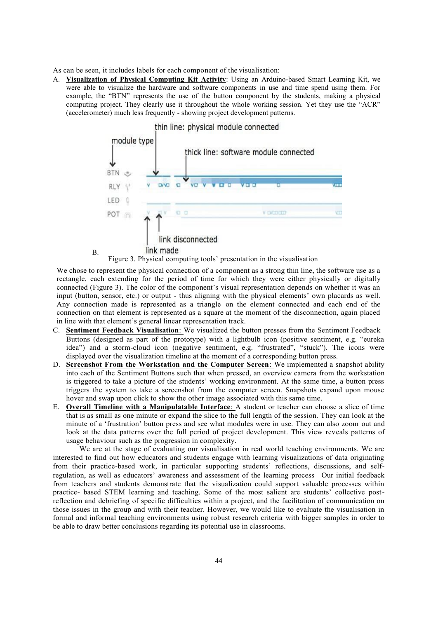As can be seen, it includes labels for each component of the visualisation:

B.

A. **Visualization of Physical Computing Kit Activity**: Using an Arduino-based Smart Learning Kit, we were able to visualize the hardware and software components in use and time spend using them. For example, the "BTN" represents the use of the button component by the students, making a physical computing project. They clearly use it throughout the whole working session. Yet they use the "ACR" (accelerometer) much less frequently - showing project development patterns.



Figure 3. Physical computing tools' presentation in the visualisation

We chose to represent the physical connection of a component as a strong thin line, the software use as a rectangle, each extending for the period of time for which they were either physically or digitally connected (Figure 3). The color of the component's visual representation depends on whether it was an input (button, sensor, etc.) or output - thus aligning with the physical elements' own placards as well. Any connection made is represented as a triangle on the element connected and each end of the connection on that element is represented as a square at the moment of the disconnection, again placed in line with that element's general linear representation track.

- C. **Sentiment Feedback Visualisation**: We visualized the button presses from the Sentiment Feedback Buttons (designed as part of the prototype) with a lightbulb icon (positive sentiment, e.g. "eureka idea") and a storm-cloud icon (negative sentiment, e.g. "frustrated", "stuck"). The icons were displayed over the visualization timeline at the moment of a corresponding button press.
- D. **Screenshot From the Workstation and the Computer Screen**: We implemented a snapshot ability into each of the Sentiment Buttons such that when pressed, an overview camera from the workstation is triggered to take a picture of the students' working environment. At the same time, a button press triggers the system to take a screenshot from the computer screen. Snapshots expand upon mouse hover and swap upon click to show the other image associated with this same time.
- E. **Overall Timeline with a Manipulatable Interface**: A student or teacher can choose a slice of time that is as small as one minute or expand the slice to the full length of the session. They can look at the minute of a 'frustration' button press and see what modules were in use. They can also zoom out and look at the data patterns over the full period of project development. This view reveals patterns of usage behaviour such as the progression in complexity.

We are at the stage of evaluating our visualisation in real world teaching environments. We are interested to find out how educators and students engage with learning visualizations of data originating from their practice-based work, in particular supporting students' reflections, discussions, and selfregulation, as well as educators' awareness and assessment of the learning process Our initial feedback from teachers and students demonstrate that the visualization could support valuable processes within practice- based STEM learning and teaching. Some of the most salient are students' collective postreflection and debriefing of specific difficulties within a project, and the facilitation of communication on those issues in the group and with their teacher. However, we would like to evaluate the visualisation in formal and informal teaching environments using robust research criteria with bigger samples in order to be able to draw better conclusions regarding its potential use in classrooms.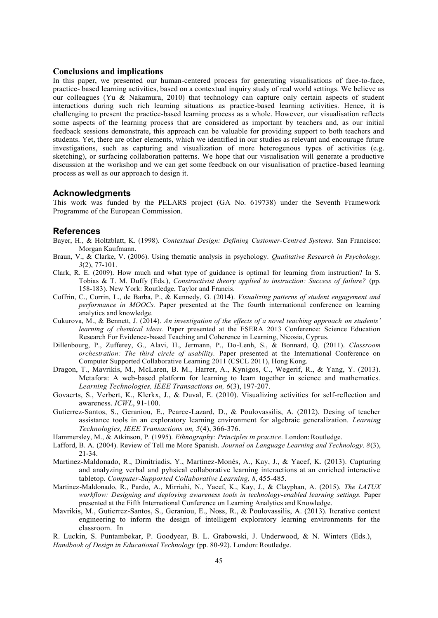#### **Conclusions and implications**

In this paper, we presented our human-centered process for generating visualisations of face-to-face, practice- based learning activities, based on a contextual inquiry study of real world settings. We believe as our colleagues (Yu  $\&$  Nakamura, 2010) that technology can capture only certain aspects of student interactions during such rich learning situations as practice-based learning activities. Hence, it is challenging to present the practice-based learning process as a whole. However, our visualisation reflects some aspects of the learning process that are considered as important by teachers and, as our initial feedback sessions demonstrate, this approach can be valuable for providing support to both teachers and students. Yet, there are other elements, which we identified in our studies as relevant and encourage future investigations, such as capturing and visualization of more heterogenous types of activities (e.g. sketching), or surfacing collaboration patterns. We hope that our visualisation will generate a productive discussion at the workshop and we can get some feedback on our visualisation of practice-based learning process as well as our approach to design it.

#### **Acknowledgments**

This work was funded by the PELARS project (GA No. 619738) under the Seventh Framework Programme of the European Commission.

#### **References**

- Bayer, H., & Holtzblatt, K. (1998). *Contextual Design: Defining Customer-Centred Systems*. San Francisco: Morgan Kaufmann.
- Braun, V., & Clarke, V. (2006). Using thematic analysis in psychology. *Qualitative Research in Psychology, 3*(2), 77-101.
- Clark, R. E. (2009). How much and what type of guidance is optimal for learning from instruction? In S. Tobias & T. M. Duffy (Eds.), *Constructivist theory applied to instruction: Success of failure?* (pp. 158-183). New York: Routledge, Taylor and Francis.
- Coffrin, C., Corrin, L., de Barba, P., & Kennedy, G. (2014). *Visualizing patterns of student engagement and performance in MOOCs.* Paper presented at the The fourth international conference on learning analytics and knowledge.
- Cukurova, M., & Bennett, J. (2014). *An investigation of the effects of a novel teaching approach on students' learning of chemical ideas.* Paper presented at the ESERA 2013 Conference: Science Education Research For Evidence-based Teaching and Coherence in Learning, Nicosia, Cyprus.
- Dillenbourg, P., Zufferey, G., Alavi, H., Jermann, P., Do-Lenh, S., & Bonnard, Q. (2011). *Classroom orchestration: The third circle of usability.* Paper presented at the International Conference on Computer Supported Collaborative Learning 2011 (CSCL 2011), Hong Kong.
- Dragon, T., Mavrikis, M., McLaren, B. M., Harrer, A., Kynigos, C., Wegerif, R., & Yang, Y. (2013). Metafora: A web-based platform for learning to learn together in science and mathematics. *Learning Technologies, IEEE Transactions on, 6*(3), 197-207.
- Govaerts, S., Verbert, K., Klerkx, J., & Duval, E. (2010). Visualizing activities for self-reflection and awareness. *ICWL*, 91-100.
- Gutierrez-Santos, S., Geraniou, E., Pearce-Lazard, D., & Poulovassilis, A. (2012). Desing of teacher assistance tools in an exploratory learning environment for algebraic generalization. *Learning Technologies, IEEE Transactions on, 5*(4), 366-376.
- Hammersley, M., & Atkinson, P. (1995). *Ethnography: Principles in practice*. London: Routledge.
- Lafford, B. A. (2004). Review of Tell me More Spanish. *Journal on Language Learning and Technology, 8*(3), 21-34.
- Martinez-Maldonado, R., Dimitriadis, Y., Martinez-Monés, A., Kay, J., & Yacef, K. (2013). Capturing and analyzing verbal and pyhsical collaborative learning interactions at an enriched interactive tabletop. *Computer-Supported Collaborative Learning, 8*, 455-485.
- Martinez-Maldonado, R., Pardo, A., Mirriahi, N., Yacef, K., Kay, J., & Clayphan, A. (2015). *The LATUX*  workflow: Designing and deploying awareness tools in technology-enabled learning settings. Paper presented at the Fifth International Conference on Learning Analytics and Knowledge.
- Mavrikis, M., Gutierrez-Santos, S., Geraniou, E., Noss, R., & Poulovassilis, A. (2013). Iterative context engineering to inform the design of intelligent exploratory learning environments for the classroom. In

R. Luckin, S. Puntambekar, P. Goodyear, B. L. Grabowski, J. Underwood, & N. Winters (Eds.), *Handbook of Design in Educational Technology* (pp. 80-92). London: Routledge.